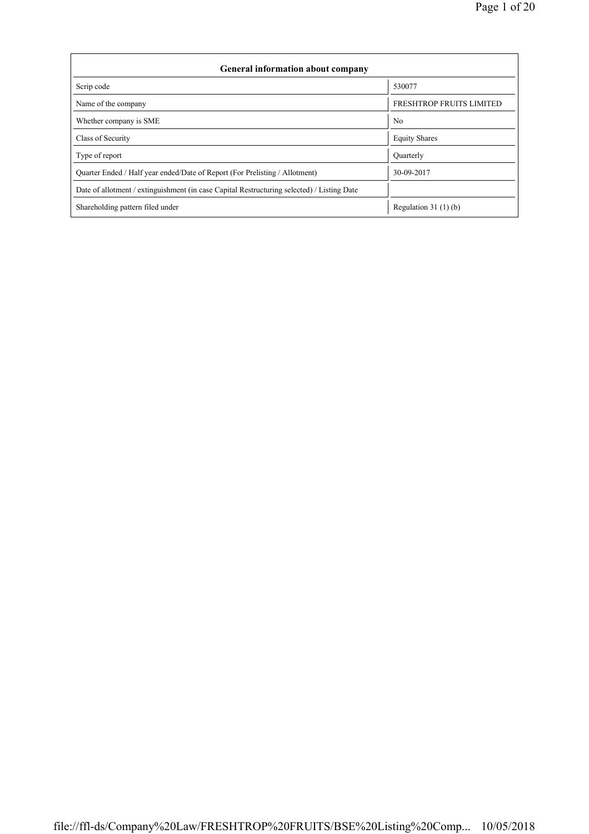| <b>General information about company</b>                                                   |                          |  |  |  |  |  |  |  |
|--------------------------------------------------------------------------------------------|--------------------------|--|--|--|--|--|--|--|
| Scrip code                                                                                 | 530077                   |  |  |  |  |  |  |  |
| Name of the company                                                                        | FRESHTROP FRUITS LIMITED |  |  |  |  |  |  |  |
| Whether company is SME                                                                     | No                       |  |  |  |  |  |  |  |
| Class of Security                                                                          | <b>Equity Shares</b>     |  |  |  |  |  |  |  |
| Type of report                                                                             | Ouarterly                |  |  |  |  |  |  |  |
| Quarter Ended / Half year ended/Date of Report (For Prelisting / Allotment)                | 30-09-2017               |  |  |  |  |  |  |  |
| Date of allotment / extinguishment (in case Capital Restructuring selected) / Listing Date |                          |  |  |  |  |  |  |  |
| Shareholding pattern filed under                                                           | Regulation $31(1)(b)$    |  |  |  |  |  |  |  |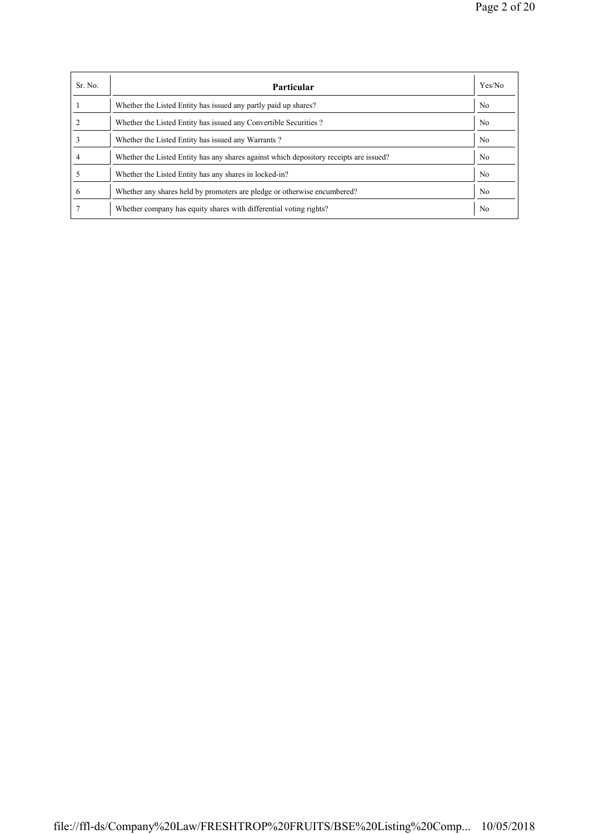| Sr. No. | <b>Particular</b>                                                                      | Yes/No         |
|---------|----------------------------------------------------------------------------------------|----------------|
|         | Whether the Listed Entity has issued any partly paid up shares?                        | No             |
|         | Whether the Listed Entity has issued any Convertible Securities?                       | N <sub>0</sub> |
|         | Whether the Listed Entity has issued any Warrants?                                     | N <sub>0</sub> |
|         | Whether the Listed Entity has any shares against which depository receipts are issued? | N <sub>0</sub> |
|         | Whether the Listed Entity has any shares in locked-in?                                 | N <sub>0</sub> |
| 6       | Whether any shares held by promoters are pledge or otherwise encumbered?               | No             |
|         | Whether company has equity shares with differential voting rights?                     | No             |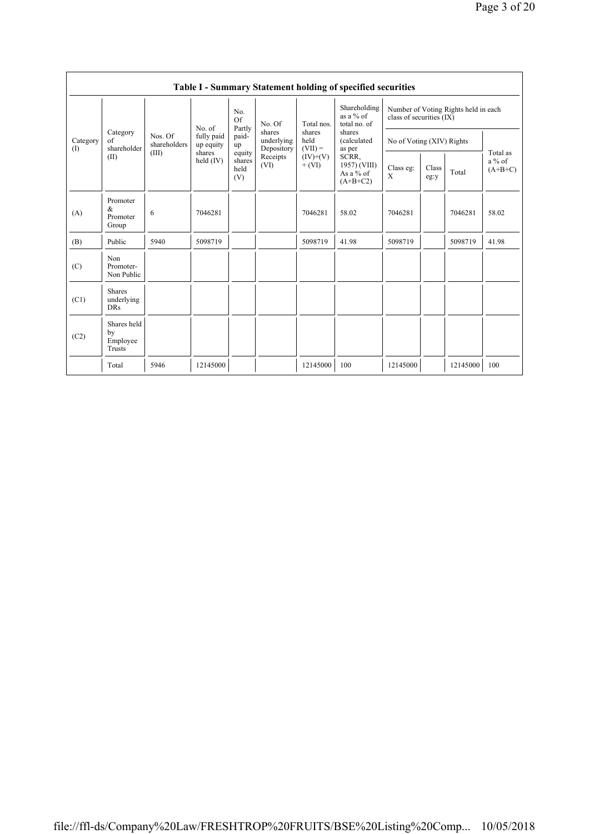|                 | Table I - Summary Statement holding of specified securities |                                  |                                                            |                                                                              |                                                                  |                                                                     |                                                                                                                                    |                                                                  |               |          |                                   |
|-----------------|-------------------------------------------------------------|----------------------------------|------------------------------------------------------------|------------------------------------------------------------------------------|------------------------------------------------------------------|---------------------------------------------------------------------|------------------------------------------------------------------------------------------------------------------------------------|------------------------------------------------------------------|---------------|----------|-----------------------------------|
| Category<br>(1) |                                                             | Nos. Of<br>shareholders<br>(III) | No. of<br>fully paid<br>up equity<br>shares<br>held $(IV)$ | No.<br><b>Of</b><br>Partly<br>paid-<br>up<br>equity<br>shares<br>held<br>(V) | No. Of<br>shares<br>underlying<br>Depository<br>Receipts<br>(VI) | Total nos.<br>shares<br>held<br>$(VII) =$<br>$(IV)+(V)$<br>$+ (VI)$ | Shareholding<br>as a $%$ of<br>total no. of<br>shares<br>(calculated<br>as per<br>SCRR,<br>1957) (VIII)<br>As a % of<br>$(A+B+C2)$ | Number of Voting Rights held in each<br>class of securities (IX) |               |          |                                   |
|                 | Category<br>$\sigma$ f<br>shareholder                       |                                  |                                                            |                                                                              |                                                                  |                                                                     |                                                                                                                                    | No of Voting (XIV) Rights                                        |               |          |                                   |
|                 | (II)                                                        |                                  |                                                            |                                                                              |                                                                  |                                                                     |                                                                                                                                    | Class eg:<br>X                                                   | Class<br>eg:y | Total    | Total as<br>$a\%$ of<br>$(A+B+C)$ |
| (A)             | Promoter<br>&<br>Promoter<br>Group                          | 6                                | 7046281                                                    |                                                                              |                                                                  | 7046281                                                             | 58.02                                                                                                                              | 7046281                                                          |               | 7046281  | 58.02                             |
| (B)             | Public                                                      | 5940                             | 5098719                                                    |                                                                              |                                                                  | 5098719                                                             | 41.98                                                                                                                              | 5098719                                                          |               | 5098719  | 41.98                             |
| (C)             | Non<br>Promoter-<br>Non Public                              |                                  |                                                            |                                                                              |                                                                  |                                                                     |                                                                                                                                    |                                                                  |               |          |                                   |
| (C1)            | <b>Shares</b><br>underlying<br><b>DRs</b>                   |                                  |                                                            |                                                                              |                                                                  |                                                                     |                                                                                                                                    |                                                                  |               |          |                                   |
| (C2)            | Shares held<br>by<br>Employee<br>Trusts                     |                                  |                                                            |                                                                              |                                                                  |                                                                     |                                                                                                                                    |                                                                  |               |          |                                   |
|                 | Total                                                       | 5946                             | 12145000                                                   |                                                                              |                                                                  | 12145000                                                            | 100                                                                                                                                | 12145000                                                         |               | 12145000 | 100                               |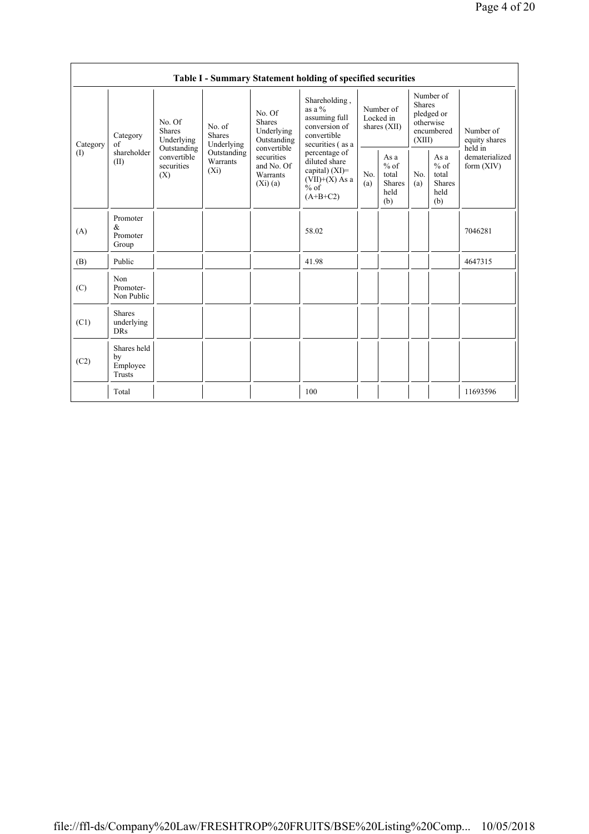|                                            | Table I - Summary Statement holding of specified securities |                                                                        |                                       |                                                                                                                        |                                                                                                 |                                          |                                                         |                                                                               |                                                         |                                           |  |
|--------------------------------------------|-------------------------------------------------------------|------------------------------------------------------------------------|---------------------------------------|------------------------------------------------------------------------------------------------------------------------|-------------------------------------------------------------------------------------------------|------------------------------------------|---------------------------------------------------------|-------------------------------------------------------------------------------|---------------------------------------------------------|-------------------------------------------|--|
| Category<br>$\textcircled{\scriptsize{1}}$ | Category<br>of<br>shareholder<br>(II)                       | No. Of<br><b>Shares</b><br>Underlying                                  | No. of<br><b>Shares</b><br>Underlying | No. Of<br><b>Shares</b><br>Underlying<br>Outstanding<br>convertible<br>securities<br>and No. Of<br>Warrants<br>(Xi)(a) | Shareholding,<br>as a $%$<br>assuming full<br>conversion of<br>convertible<br>securities (as a  | Number of<br>Locked in<br>shares $(XII)$ |                                                         | Number of<br><b>Shares</b><br>pledged or<br>otherwise<br>encumbered<br>(XIII) |                                                         | Number of<br>equity shares                |  |
|                                            |                                                             | Outstanding<br>convertible<br>Warrants<br>securities<br>$(X_i)$<br>(X) | Outstanding                           |                                                                                                                        | percentage of<br>diluted share<br>capital) $(XI)$ =<br>$(VII)+(X)$ As a<br>$%$ of<br>$(A+B+C2)$ | No.<br>(a)                               | As a<br>$%$ of<br>total<br><b>Shares</b><br>held<br>(b) | No.<br>(a)                                                                    | As a<br>$%$ of<br>total<br><b>Shares</b><br>held<br>(b) | held in<br>dematerialized<br>form $(XIV)$ |  |
| (A)                                        | Promoter<br>&<br>Promoter<br>Group                          |                                                                        |                                       |                                                                                                                        | 58.02                                                                                           |                                          |                                                         |                                                                               |                                                         | 7046281                                   |  |
| (B)                                        | Public                                                      |                                                                        |                                       |                                                                                                                        | 41.98                                                                                           |                                          |                                                         |                                                                               |                                                         | 4647315                                   |  |
| (C)                                        | Non<br>Promoter-<br>Non Public                              |                                                                        |                                       |                                                                                                                        |                                                                                                 |                                          |                                                         |                                                                               |                                                         |                                           |  |
| (C1)                                       | <b>Shares</b><br>underlying<br><b>DRs</b>                   |                                                                        |                                       |                                                                                                                        |                                                                                                 |                                          |                                                         |                                                                               |                                                         |                                           |  |
| (C2)                                       | Shares held<br>by<br>Employee<br>Trusts                     |                                                                        |                                       |                                                                                                                        |                                                                                                 |                                          |                                                         |                                                                               |                                                         |                                           |  |
|                                            | Total                                                       |                                                                        |                                       |                                                                                                                        | 100                                                                                             |                                          |                                                         |                                                                               |                                                         | 11693596                                  |  |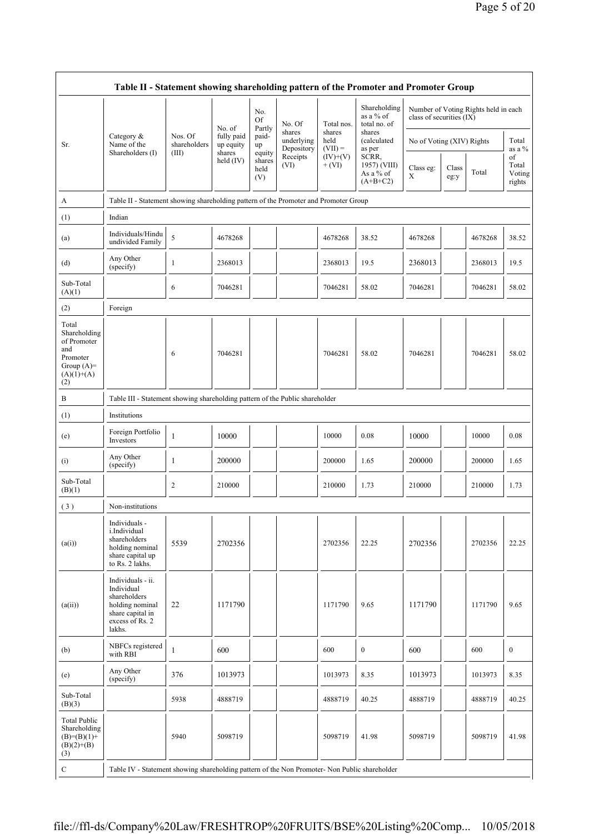|                                                                                                | Table II - Statement showing shareholding pattern of the Promoter and Promoter Group                                |                                  |                         |                                 |                                    |                             |                                                  |                           |               |                                      |                                 |
|------------------------------------------------------------------------------------------------|---------------------------------------------------------------------------------------------------------------------|----------------------------------|-------------------------|---------------------------------|------------------------------------|-----------------------------|--------------------------------------------------|---------------------------|---------------|--------------------------------------|---------------------------------|
|                                                                                                |                                                                                                                     |                                  | No. of                  | No.<br>Of<br>Partly             | No. Of                             | Total nos.                  | Shareholding<br>as a % of<br>total no. of        | class of securities (IX)  |               | Number of Voting Rights held in each |                                 |
| Sr.                                                                                            | Category &<br>Name of the<br>Shareholders (I)                                                                       | Nos. Of<br>shareholders<br>(III) | fully paid<br>up equity | paid-<br>up                     | shares<br>underlying<br>Depository | shares<br>held<br>$(VII) =$ | shares<br>(calculated<br>as per                  | No of Voting (XIV) Rights |               |                                      | Total<br>as a %                 |
|                                                                                                |                                                                                                                     |                                  | shares<br>held $(IV)$   | equity<br>shares<br>held<br>(V) | Receipts<br>(VI)                   | $(IV)+(V)$<br>$+ (VI)$      | SCRR,<br>1957) (VIII)<br>As a % of<br>$(A+B+C2)$ | Class eg:<br>X            | Class<br>eg:y | Total                                | of<br>Total<br>Voting<br>rights |
| A                                                                                              | Table II - Statement showing shareholding pattern of the Promoter and Promoter Group                                |                                  |                         |                                 |                                    |                             |                                                  |                           |               |                                      |                                 |
| (1)                                                                                            | Indian                                                                                                              |                                  |                         |                                 |                                    |                             |                                                  |                           |               |                                      |                                 |
| (a)                                                                                            | Individuals/Hindu<br>undivided Family                                                                               | 5                                | 4678268                 |                                 |                                    | 4678268                     | 38.52                                            | 4678268                   |               | 4678268                              | 38.52                           |
| (d)                                                                                            | Any Other<br>(specify)                                                                                              | 1                                | 2368013                 |                                 |                                    | 2368013                     | 19.5                                             | 2368013                   |               | 2368013                              | 19.5                            |
| Sub-Total<br>(A)(1)                                                                            |                                                                                                                     | 6                                | 7046281                 |                                 |                                    | 7046281                     | 58.02                                            | 7046281                   |               | 7046281                              | 58.02                           |
| (2)                                                                                            | Foreign                                                                                                             |                                  |                         |                                 |                                    |                             |                                                  |                           |               |                                      |                                 |
| Total<br>Shareholding<br>of Promoter<br>and<br>Promoter<br>Group $(A)=$<br>$(A)(1)+(A)$<br>(2) |                                                                                                                     | 6                                | 7046281                 |                                 |                                    | 7046281                     | 58.02                                            | 7046281                   |               | 7046281                              | 58.02                           |
| B                                                                                              | Table III - Statement showing shareholding pattern of the Public shareholder                                        |                                  |                         |                                 |                                    |                             |                                                  |                           |               |                                      |                                 |
| (1)                                                                                            | Institutions                                                                                                        |                                  |                         |                                 |                                    |                             |                                                  |                           |               |                                      |                                 |
| (e)                                                                                            | Foreign Portfolio<br>Investors                                                                                      | $\mathbf{1}$                     | 10000                   |                                 |                                    | 10000                       | 0.08                                             | 10000                     |               | 10000                                | 0.08                            |
| (i)                                                                                            | Any Other<br>(specify)                                                                                              | 1                                | 200000                  |                                 |                                    | 200000                      | 1.65                                             | 200000                    |               | 200000                               | 1.65                            |
| Sub-Total<br>(B)(1)                                                                            |                                                                                                                     | $\overline{\mathbf{c}}$          | 210000                  |                                 |                                    | 210000                      | 1.73                                             | 210000                    |               | 210000                               | 1.73                            |
| (3)                                                                                            | Non-institutions                                                                                                    |                                  |                         |                                 |                                    |                             |                                                  |                           |               |                                      |                                 |
| (a(i))                                                                                         | Individuals -<br>i.Individual<br>shareholders<br>holding nominal<br>share capital up<br>to Rs. 2 lakhs.             | 5539                             | 2702356                 |                                 |                                    | 2702356                     | 22.25                                            | 2702356                   |               | 2702356                              | 22.25                           |
| (a(ii))                                                                                        | Individuals - ii.<br>Individual<br>shareholders<br>holding nominal<br>share capital in<br>excess of Rs. 2<br>lakhs. | 22                               | 1171790                 |                                 |                                    | 1171790                     | 9.65                                             | 1171790                   |               | 1171790                              | 9.65                            |
| (b)                                                                                            | NBFCs registered<br>with RBI                                                                                        | $\mathbf{1}$                     | 600                     |                                 |                                    | 600                         | $\boldsymbol{0}$                                 | 600                       |               | 600                                  | $\boldsymbol{0}$                |
| (e)                                                                                            | Any Other<br>(specify)                                                                                              | 376                              | 1013973                 |                                 |                                    | 1013973                     | 8.35                                             | 1013973                   |               | 1013973                              | 8.35                            |
| Sub-Total<br>(B)(3)                                                                            |                                                                                                                     | 5938                             | 4888719                 |                                 |                                    | 4888719                     | 40.25                                            | 4888719                   |               | 4888719                              | 40.25                           |
| <b>Total Public</b><br>Shareholding<br>$(B)=(B)(1)+$<br>$(B)(2)+(B)$<br>(3)                    |                                                                                                                     | 5940                             | 5098719                 |                                 |                                    | 5098719                     | 41.98                                            | 5098719                   |               | 5098719                              | 41.98                           |
| $\mathbf C$                                                                                    | Table IV - Statement showing shareholding pattern of the Non Promoter- Non Public shareholder                       |                                  |                         |                                 |                                    |                             |                                                  |                           |               |                                      |                                 |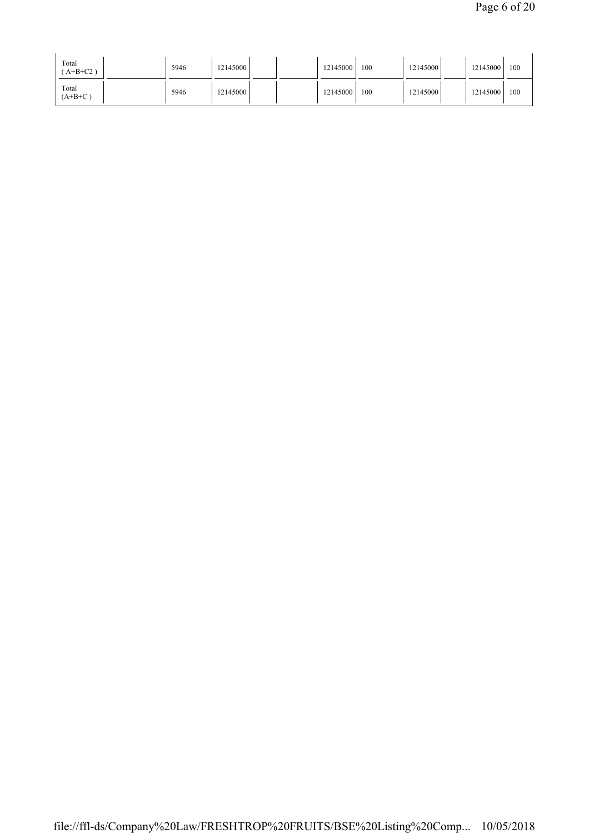| Total<br>$AA+B+C2$ ) | 5946 | 12145000 |  | 12145000 | 100 | 121450001 | 12145000 | 100 |
|----------------------|------|----------|--|----------|-----|-----------|----------|-----|
| Total<br>$(A+B+C)$   | 5946 | 12145000 |  | 12145000 | 100 | 12145000  | 12145000 | 100 |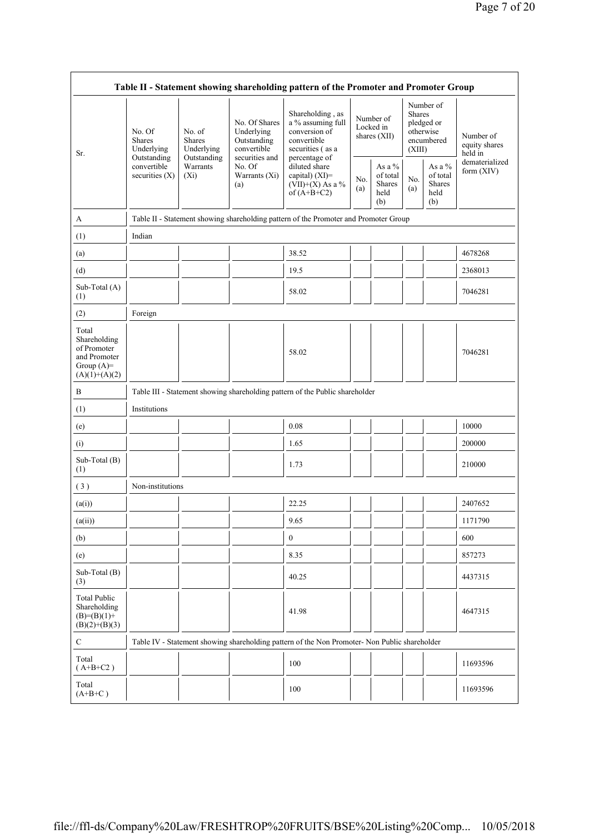| Table II - Statement showing shareholding pattern of the Promoter and Promoter Group    |                                                                                         |                                                                             |                                                                                                               |                                                                                               |            |                                                    |                                                                               |                                             |                                       |  |
|-----------------------------------------------------------------------------------------|-----------------------------------------------------------------------------------------|-----------------------------------------------------------------------------|---------------------------------------------------------------------------------------------------------------|-----------------------------------------------------------------------------------------------|------------|----------------------------------------------------|-------------------------------------------------------------------------------|---------------------------------------------|---------------------------------------|--|
| Sr.                                                                                     | No. Of<br><b>Shares</b><br>Underlying<br>Outstanding<br>convertible<br>securities $(X)$ | No. of<br><b>Shares</b><br>Underlying<br>Outstanding<br>Warrants<br>$(X_i)$ | No. Of Shares<br>Underlying<br>Outstanding<br>convertible<br>securities and<br>No. Of<br>Warrants (Xi)<br>(a) | Shareholding, as<br>a % assuming full<br>conversion of<br>convertible<br>securities (as a     |            | Number of<br>Locked in<br>shares (XII)             | Number of<br><b>Shares</b><br>pledged or<br>otherwise<br>encumbered<br>(XIII) |                                             | Number of<br>equity shares<br>held in |  |
|                                                                                         |                                                                                         |                                                                             |                                                                                                               | percentage of<br>diluted share<br>capital) (XI)=<br>(VII)+(X) As a $%$<br>of $(A+B+C2)$       | No.<br>(a) | As a %<br>of total<br><b>Shares</b><br>held<br>(b) | No.<br>(a)                                                                    | As a %<br>of total<br>Shares<br>held<br>(b) | dematerialized<br>form (XIV)          |  |
| A                                                                                       |                                                                                         |                                                                             |                                                                                                               | Table II - Statement showing shareholding pattern of the Promoter and Promoter Group          |            |                                                    |                                                                               |                                             |                                       |  |
| (1)                                                                                     | Indian                                                                                  |                                                                             |                                                                                                               |                                                                                               |            |                                                    |                                                                               |                                             |                                       |  |
| (a)                                                                                     |                                                                                         |                                                                             |                                                                                                               | 38.52                                                                                         |            |                                                    |                                                                               |                                             | 4678268                               |  |
| (d)                                                                                     |                                                                                         |                                                                             |                                                                                                               | 19.5                                                                                          |            |                                                    |                                                                               |                                             | 2368013                               |  |
| Sub-Total (A)<br>(1)                                                                    |                                                                                         |                                                                             |                                                                                                               | 58.02                                                                                         |            |                                                    |                                                                               |                                             | 7046281                               |  |
| (2)                                                                                     | Foreign                                                                                 |                                                                             |                                                                                                               |                                                                                               |            |                                                    |                                                                               |                                             |                                       |  |
| Total<br>Shareholding<br>of Promoter<br>and Promoter<br>Group $(A)=$<br>$(A)(1)+(A)(2)$ |                                                                                         |                                                                             |                                                                                                               | 58.02                                                                                         |            |                                                    |                                                                               |                                             | 7046281                               |  |
| B                                                                                       |                                                                                         |                                                                             |                                                                                                               | Table III - Statement showing shareholding pattern of the Public shareholder                  |            |                                                    |                                                                               |                                             |                                       |  |
| (1)                                                                                     | Institutions                                                                            |                                                                             |                                                                                                               |                                                                                               |            |                                                    |                                                                               |                                             |                                       |  |
| (e)                                                                                     |                                                                                         |                                                                             |                                                                                                               | 0.08                                                                                          |            |                                                    |                                                                               |                                             | 10000                                 |  |
| (i)                                                                                     |                                                                                         |                                                                             |                                                                                                               | 1.65                                                                                          |            |                                                    |                                                                               |                                             | 200000                                |  |
| Sub-Total (B)<br>(1)                                                                    |                                                                                         |                                                                             |                                                                                                               | 1.73                                                                                          |            |                                                    |                                                                               |                                             | 210000                                |  |
| (3)                                                                                     | Non-institutions                                                                        |                                                                             |                                                                                                               |                                                                                               |            |                                                    |                                                                               |                                             |                                       |  |
| (a(i))                                                                                  |                                                                                         |                                                                             |                                                                                                               | 22.25                                                                                         |            |                                                    |                                                                               |                                             | 2407652                               |  |
| (a(ii))                                                                                 |                                                                                         |                                                                             |                                                                                                               | 9.65                                                                                          |            |                                                    | П                                                                             |                                             | 1171790                               |  |
| (b)                                                                                     |                                                                                         |                                                                             |                                                                                                               | $\boldsymbol{0}$                                                                              |            |                                                    |                                                                               |                                             | 600                                   |  |
| (e)                                                                                     |                                                                                         |                                                                             |                                                                                                               | 8.35                                                                                          |            |                                                    |                                                                               |                                             | 857273                                |  |
| Sub-Total (B)<br>(3)                                                                    |                                                                                         |                                                                             |                                                                                                               | 40.25                                                                                         |            |                                                    |                                                                               |                                             | 4437315                               |  |
| <b>Total Public</b><br>Shareholding<br>$(B)= (B)(1) +$<br>$(B)(2)+(B)(3)$               |                                                                                         |                                                                             |                                                                                                               | 41.98                                                                                         |            |                                                    |                                                                               |                                             | 4647315                               |  |
| $\mathbf C$                                                                             |                                                                                         |                                                                             |                                                                                                               | Table IV - Statement showing shareholding pattern of the Non Promoter- Non Public shareholder |            |                                                    |                                                                               |                                             |                                       |  |
| Total<br>$(A+B+C2)$                                                                     |                                                                                         |                                                                             |                                                                                                               | 100                                                                                           |            |                                                    |                                                                               |                                             | 11693596                              |  |
| Total<br>$(A+B+C)$                                                                      |                                                                                         |                                                                             |                                                                                                               | 100                                                                                           |            |                                                    |                                                                               |                                             | 11693596                              |  |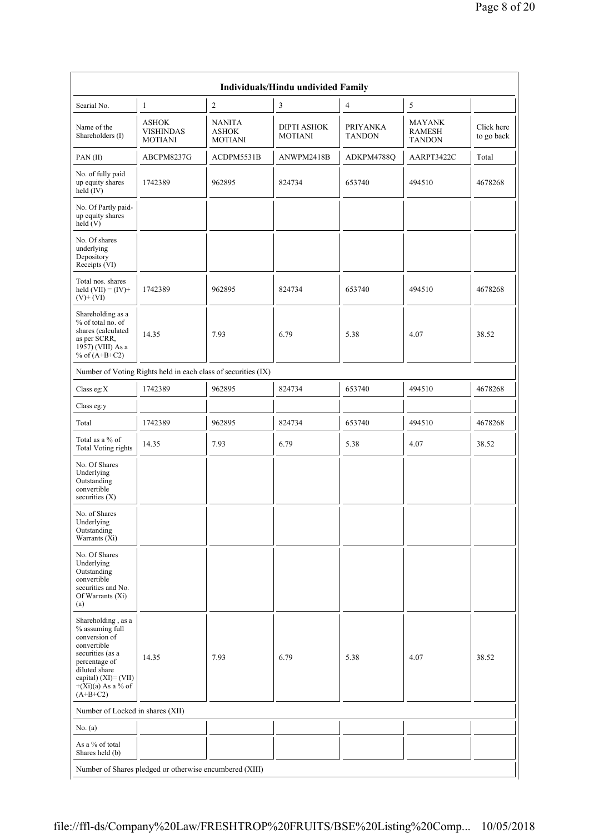| Individuals/Hindu undivided Family                                                                                                                                                           |                                                               |                                                 |                                      |                                  |                                                 |                          |  |  |  |  |
|----------------------------------------------------------------------------------------------------------------------------------------------------------------------------------------------|---------------------------------------------------------------|-------------------------------------------------|--------------------------------------|----------------------------------|-------------------------------------------------|--------------------------|--|--|--|--|
| Searial No.                                                                                                                                                                                  | 1                                                             | $\overline{c}$                                  | 3                                    | $\overline{4}$                   | 5                                               |                          |  |  |  |  |
| Name of the<br>Shareholders (I)                                                                                                                                                              | <b>ASHOK</b><br><b>VISHINDAS</b><br><b>MOTIANI</b>            | <b>NANITA</b><br><b>ASHOK</b><br><b>MOTIANI</b> | <b>DIPTI ASHOK</b><br><b>MOTIANI</b> | <b>PRIYANKA</b><br><b>TANDON</b> | <b>MAYANK</b><br><b>RAMESH</b><br><b>TANDON</b> | Click here<br>to go back |  |  |  |  |
| PAN(II)                                                                                                                                                                                      | ABCPM8237G                                                    | ACDPM5531B                                      | ANWPM2418B                           | ADKPM4788Q                       | AARPT3422C                                      | Total                    |  |  |  |  |
| No. of fully paid<br>up equity shares<br>held (IV)                                                                                                                                           | 1742389                                                       | 962895                                          | 824734                               | 653740                           | 494510                                          | 4678268                  |  |  |  |  |
| No. Of Partly paid-<br>up equity shares<br>held(V)                                                                                                                                           |                                                               |                                                 |                                      |                                  |                                                 |                          |  |  |  |  |
| No. Of shares<br>underlying<br>Depository<br>Receipts (VI)                                                                                                                                   |                                                               |                                                 |                                      |                                  |                                                 |                          |  |  |  |  |
| Total nos. shares<br>held $(VII) = (IV) +$<br>$(V)+(VI)$                                                                                                                                     | 1742389                                                       | 962895                                          | 824734                               | 653740                           | 494510                                          | 4678268                  |  |  |  |  |
| Shareholding as a<br>% of total no. of<br>shares (calculated<br>as per SCRR,<br>1957) (VIII) As a<br>% of $(A+B+C2)$                                                                         | 14.35                                                         | 7.93                                            | 6.79                                 | 5.38                             | 4.07                                            | 38.52                    |  |  |  |  |
|                                                                                                                                                                                              | Number of Voting Rights held in each class of securities (IX) |                                                 |                                      |                                  |                                                 |                          |  |  |  |  |
| Class eg:X                                                                                                                                                                                   | 1742389                                                       | 962895                                          | 824734                               | 653740                           | 494510                                          | 4678268                  |  |  |  |  |
| Class eg:y                                                                                                                                                                                   |                                                               |                                                 |                                      |                                  |                                                 |                          |  |  |  |  |
| Total                                                                                                                                                                                        | 1742389                                                       | 962895                                          | 824734                               | 653740                           | 494510                                          | 4678268                  |  |  |  |  |
| Total as a % of<br><b>Total Voting rights</b>                                                                                                                                                | 14.35                                                         | 7.93                                            | 6.79                                 | 5.38                             | 4.07                                            | 38.52                    |  |  |  |  |
| No. Of Shares<br>Underlying<br>Outstanding<br>convertible<br>securities $(X)$                                                                                                                |                                                               |                                                 |                                      |                                  |                                                 |                          |  |  |  |  |
| No. of Shares<br>Underlying<br>Outstanding<br>Warrants (Xi)                                                                                                                                  |                                                               |                                                 |                                      |                                  |                                                 |                          |  |  |  |  |
| No. Of Shares<br>Underlying<br>Outstanding<br>convertible<br>securities and No.<br>Of Warrants (Xi)<br>(a)                                                                                   |                                                               |                                                 |                                      |                                  |                                                 |                          |  |  |  |  |
| Shareholding, as a<br>% assuming full<br>conversion of<br>convertible<br>securities (as a<br>percentage of<br>diluted share<br>capital) $(XI) = (VII)$<br>$+(Xi)(a)$ As a % of<br>$(A+B+C2)$ | 14.35                                                         | 7.93                                            | 6.79                                 | 5.38                             | 4.07                                            | 38.52                    |  |  |  |  |
| Number of Locked in shares (XII)                                                                                                                                                             |                                                               |                                                 |                                      |                                  |                                                 |                          |  |  |  |  |
| No. $(a)$                                                                                                                                                                                    |                                                               |                                                 |                                      |                                  |                                                 |                          |  |  |  |  |
| As a % of total<br>Shares held (b)                                                                                                                                                           |                                                               |                                                 |                                      |                                  |                                                 |                          |  |  |  |  |
|                                                                                                                                                                                              | Number of Shares pledged or otherwise encumbered (XIII)       |                                                 |                                      |                                  |                                                 |                          |  |  |  |  |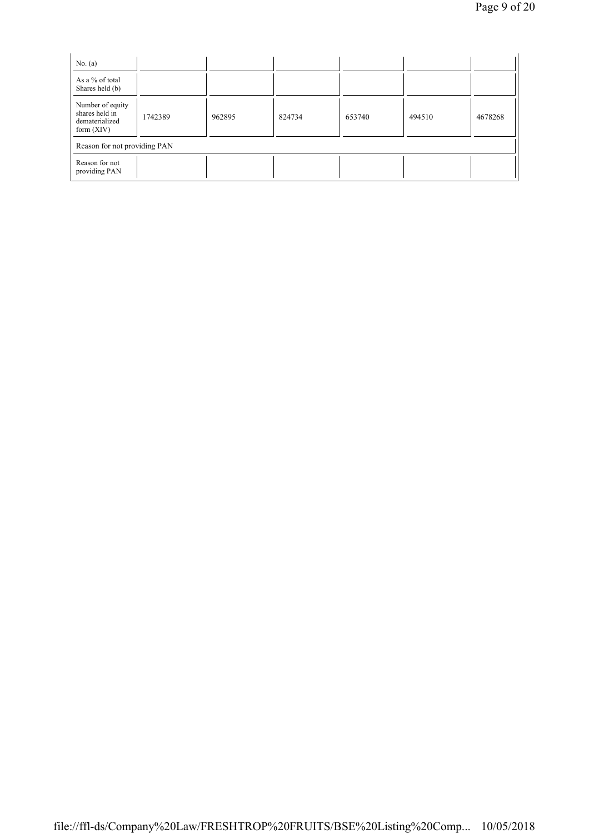| No. $(a)$                                                            |         |        |        |        |        |         |  |  |
|----------------------------------------------------------------------|---------|--------|--------|--------|--------|---------|--|--|
| As a % of total<br>Shares held (b)                                   |         |        |        |        |        |         |  |  |
| Number of equity<br>shares held in<br>dematerialized<br>form $(XIV)$ | 1742389 | 962895 | 824734 | 653740 | 494510 | 4678268 |  |  |
| Reason for not providing PAN                                         |         |        |        |        |        |         |  |  |
| Reason for not<br>providing PAN                                      |         |        |        |        |        |         |  |  |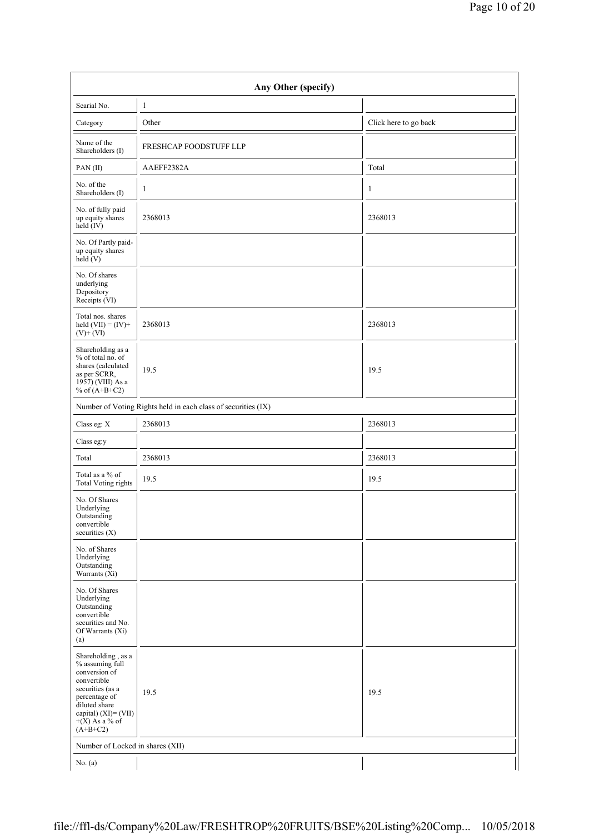| Any Other (specify)                                                                                                                                                                   |                                                               |                       |  |  |  |  |  |  |
|---------------------------------------------------------------------------------------------------------------------------------------------------------------------------------------|---------------------------------------------------------------|-----------------------|--|--|--|--|--|--|
| Searial No.                                                                                                                                                                           | 1                                                             |                       |  |  |  |  |  |  |
| Category                                                                                                                                                                              | Other                                                         | Click here to go back |  |  |  |  |  |  |
| Name of the<br>Shareholders (I)                                                                                                                                                       | FRESHCAP FOODSTUFF LLP                                        |                       |  |  |  |  |  |  |
| PAN(II)                                                                                                                                                                               | AAEFF2382A                                                    | Total                 |  |  |  |  |  |  |
| No. of the<br>Shareholders (I)                                                                                                                                                        | $\mathbf{1}$                                                  | $\mathbf{1}$          |  |  |  |  |  |  |
| No. of fully paid<br>up equity shares<br>held (IV)                                                                                                                                    | 2368013                                                       | 2368013               |  |  |  |  |  |  |
| No. Of Partly paid-<br>up equity shares<br>held (V)                                                                                                                                   |                                                               |                       |  |  |  |  |  |  |
| No. Of shares<br>underlying<br>Depository<br>Receipts (VI)                                                                                                                            |                                                               |                       |  |  |  |  |  |  |
| Total nos. shares<br>held $(VII) = (IV) +$<br>$(V)+(VI)$                                                                                                                              | 2368013                                                       | 2368013               |  |  |  |  |  |  |
| Shareholding as a<br>% of total no. of<br>shares (calculated<br>as per SCRR,<br>1957) (VIII) As a<br>% of $(A+B+C2)$                                                                  | 19.5                                                          | 19.5                  |  |  |  |  |  |  |
|                                                                                                                                                                                       | Number of Voting Rights held in each class of securities (IX) |                       |  |  |  |  |  |  |
| Class eg: X                                                                                                                                                                           | 2368013                                                       | 2368013               |  |  |  |  |  |  |
| Class eg:y                                                                                                                                                                            |                                                               |                       |  |  |  |  |  |  |
| Total                                                                                                                                                                                 | 2368013                                                       | 2368013               |  |  |  |  |  |  |
| Total as a % of<br><b>Total Voting rights</b>                                                                                                                                         | 19.5                                                          | 19.5                  |  |  |  |  |  |  |
| No. Of Shares<br>Underlying<br>Outstanding<br>convertible<br>securities (X)                                                                                                           |                                                               |                       |  |  |  |  |  |  |
| No. of Shares<br>Underlying<br>Outstanding<br>Warrants $(X_i)$                                                                                                                        |                                                               |                       |  |  |  |  |  |  |
| No. Of Shares<br>Underlying<br>Outstanding<br>convertible<br>securities and No.<br>Of Warrants (Xi)<br>(a)                                                                            |                                                               |                       |  |  |  |  |  |  |
| Shareholding, as a<br>% assuming full<br>conversion of<br>convertible<br>securities (as a<br>percentage of<br>diluted share<br>capital) (XI)= (VII)<br>$+(X)$ As a % of<br>$(A+B+C2)$ | 19.5                                                          | 19.5                  |  |  |  |  |  |  |
| Number of Locked in shares (XII)                                                                                                                                                      |                                                               |                       |  |  |  |  |  |  |
| No. $(a)$                                                                                                                                                                             |                                                               |                       |  |  |  |  |  |  |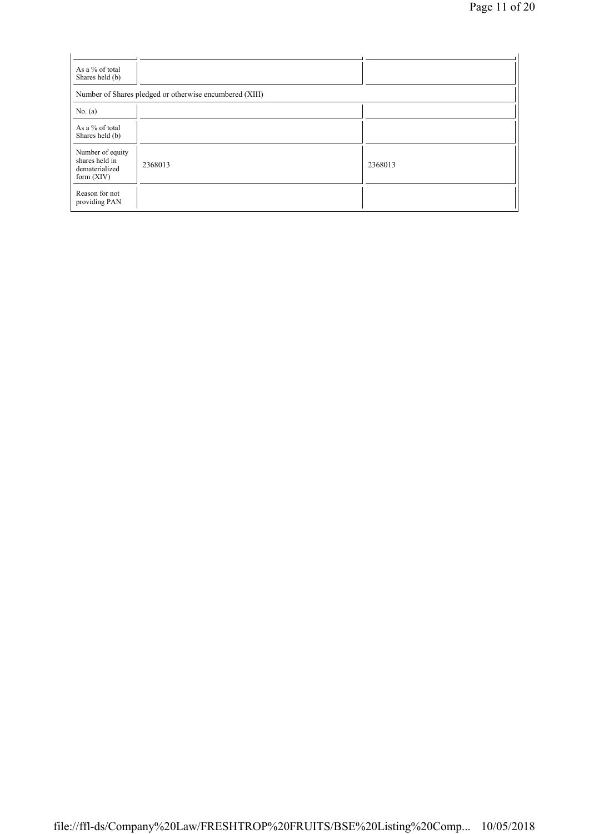| As a % of total<br>Shares held (b)                                   |         |         |  |  |  |  |  |  |
|----------------------------------------------------------------------|---------|---------|--|--|--|--|--|--|
| Number of Shares pledged or otherwise encumbered (XIII)              |         |         |  |  |  |  |  |  |
| No. $(a)$                                                            |         |         |  |  |  |  |  |  |
| As a % of total<br>Shares held (b)                                   |         |         |  |  |  |  |  |  |
| Number of equity<br>shares held in<br>dematerialized<br>form $(XIV)$ | 2368013 | 2368013 |  |  |  |  |  |  |
| Reason for not<br>providing PAN                                      |         |         |  |  |  |  |  |  |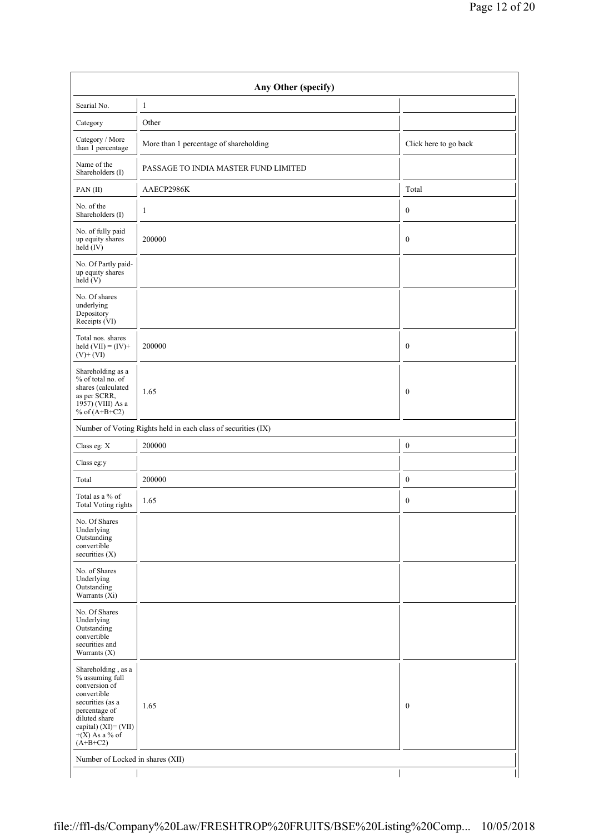| Any Other (specify)                                                                                                                                                                      |                                                               |                       |  |  |  |  |  |  |
|------------------------------------------------------------------------------------------------------------------------------------------------------------------------------------------|---------------------------------------------------------------|-----------------------|--|--|--|--|--|--|
| Searial No.                                                                                                                                                                              | $\mathbf{1}$                                                  |                       |  |  |  |  |  |  |
| Category                                                                                                                                                                                 | Other                                                         |                       |  |  |  |  |  |  |
| Category / More<br>than 1 percentage                                                                                                                                                     | More than 1 percentage of shareholding                        | Click here to go back |  |  |  |  |  |  |
| Name of the<br>Shareholders (I)                                                                                                                                                          | PASSAGE TO INDIA MASTER FUND LIMITED                          |                       |  |  |  |  |  |  |
| PAN(II)                                                                                                                                                                                  | AAECP2986K                                                    | Total                 |  |  |  |  |  |  |
| No. of the<br>Shareholders (I)                                                                                                                                                           | $\mathbf{1}$                                                  | $\boldsymbol{0}$      |  |  |  |  |  |  |
| No. of fully paid<br>up equity shares<br>held $(IV)$                                                                                                                                     | 200000                                                        | $\boldsymbol{0}$      |  |  |  |  |  |  |
| No. Of Partly paid-<br>up equity shares<br>held $(V)$                                                                                                                                    |                                                               |                       |  |  |  |  |  |  |
| No. Of shares<br>underlying<br>Depository<br>Receipts (VI)                                                                                                                               |                                                               |                       |  |  |  |  |  |  |
| Total nos. shares<br>held $(VII) = (IV) +$<br>$(V)+(VI)$                                                                                                                                 | 200000                                                        | $\boldsymbol{0}$      |  |  |  |  |  |  |
| Shareholding as a<br>% of total no. of<br>shares (calculated<br>as per SCRR,<br>1957) (VIII) As a<br>% of $(A+B+C2)$                                                                     | 1.65                                                          | $\boldsymbol{0}$      |  |  |  |  |  |  |
|                                                                                                                                                                                          | Number of Voting Rights held in each class of securities (IX) |                       |  |  |  |  |  |  |
| Class eg: X                                                                                                                                                                              | 200000                                                        | $\boldsymbol{0}$      |  |  |  |  |  |  |
| Class eg:y                                                                                                                                                                               |                                                               |                       |  |  |  |  |  |  |
| Total                                                                                                                                                                                    | 200000                                                        | $\boldsymbol{0}$      |  |  |  |  |  |  |
| Total as a % of<br><b>Total Voting rights</b>                                                                                                                                            | 1.65                                                          | $\boldsymbol{0}$      |  |  |  |  |  |  |
| No. Of Shares<br>Underlying<br>Outstanding<br>convertible<br>securities $(X)$                                                                                                            |                                                               |                       |  |  |  |  |  |  |
| No. of Shares<br>Underlying<br>Outstanding<br>Warrants (Xi)                                                                                                                              |                                                               |                       |  |  |  |  |  |  |
| No. Of Shares<br>Underlying<br>Outstanding<br>convertible<br>securities and<br>Warrants $(X)$                                                                                            |                                                               |                       |  |  |  |  |  |  |
| Shareholding, as a<br>% assuming full<br>conversion of<br>convertible<br>securities (as a<br>percentage of<br>diluted share<br>capital) $(XI) = (VII)$<br>$+(X)$ As a % of<br>$(A+B+C2)$ | 1.65                                                          | $\boldsymbol{0}$      |  |  |  |  |  |  |
| Number of Locked in shares (XII)                                                                                                                                                         |                                                               |                       |  |  |  |  |  |  |
|                                                                                                                                                                                          |                                                               |                       |  |  |  |  |  |  |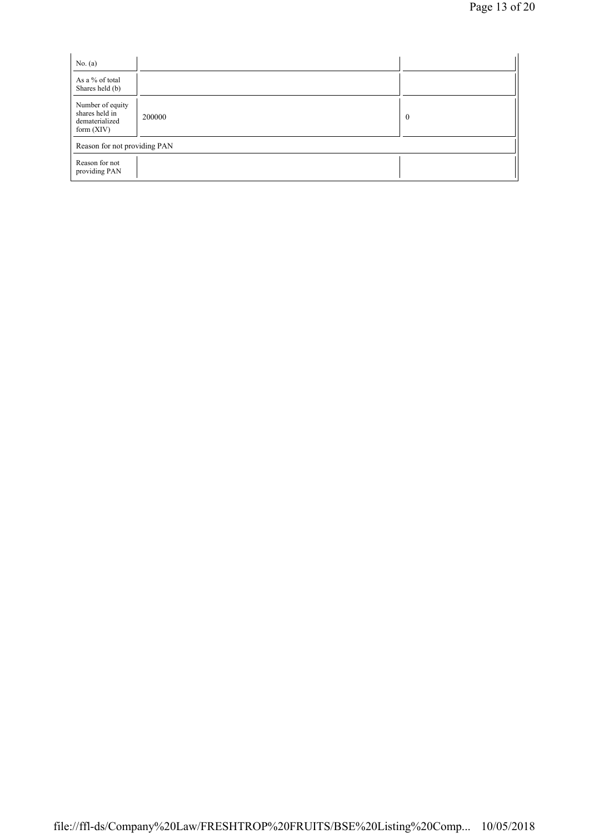| No. $(a)$                                                            |        |          |
|----------------------------------------------------------------------|--------|----------|
| As a % of total<br>Shares held (b)                                   |        |          |
| Number of equity<br>shares held in<br>dematerialized<br>form $(XIV)$ | 200000 | $\theta$ |
| Reason for not providing PAN                                         |        |          |
| Reason for not<br>providing PAN                                      |        |          |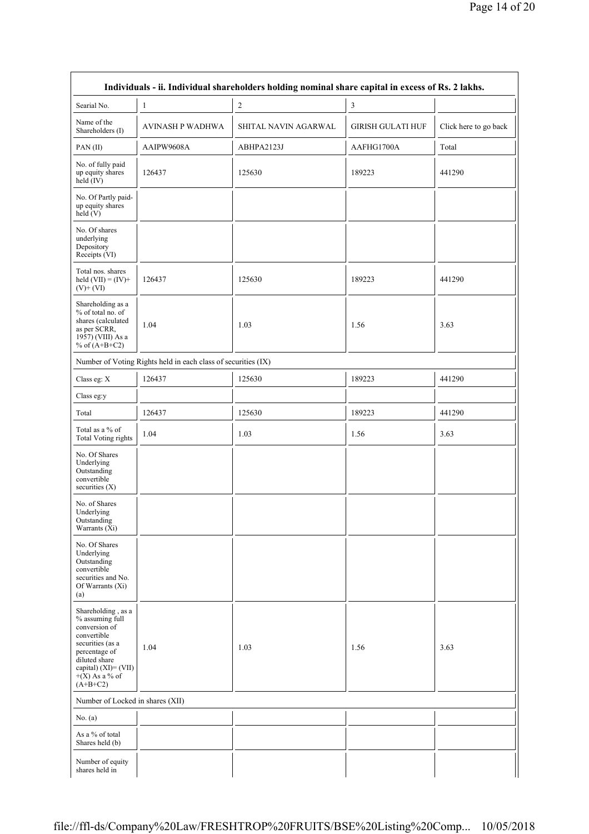$\overline{\phantom{a}}$ 

| Individuals - ii. Individual shareholders holding nominal share capital in excess of Rs. 2 lakhs.                                                                                     |                                                               |                      |                          |                       |
|---------------------------------------------------------------------------------------------------------------------------------------------------------------------------------------|---------------------------------------------------------------|----------------------|--------------------------|-----------------------|
| Searial No.                                                                                                                                                                           | 1                                                             | $\overline{c}$       | 3                        |                       |
| Name of the<br>Shareholders (I)                                                                                                                                                       | <b>AVINASH P WADHWA</b>                                       | SHITAL NAVIN AGARWAL | <b>GIRISH GULATI HUF</b> | Click here to go back |
| PAN(II)                                                                                                                                                                               | AAIPW9608A                                                    | ABHPA2123J           | AAFHG1700A               | Total                 |
| No. of fully paid<br>up equity shares<br>held $(IV)$                                                                                                                                  | 126437                                                        | 125630               | 189223                   | 441290                |
| No. Of Partly paid-<br>up equity shares<br>held(V)                                                                                                                                    |                                                               |                      |                          |                       |
| No. Of shares<br>underlying<br>Depository<br>Receipts (VI)                                                                                                                            |                                                               |                      |                          |                       |
| Total nos. shares<br>held $(VII) = (IV) +$<br>$(V)$ + $(V)$                                                                                                                           | 126437                                                        | 125630               | 189223                   | 441290                |
| Shareholding as a<br>% of total no. of<br>shares (calculated<br>as per SCRR,<br>1957) (VIII) As a<br>% of $(A+B+C2)$                                                                  | 1.04                                                          | 1.03                 | 1.56                     | 3.63                  |
|                                                                                                                                                                                       | Number of Voting Rights held in each class of securities (IX) |                      |                          |                       |
| Class eg: X                                                                                                                                                                           | 126437                                                        | 125630               | 189223                   | 441290                |
| Class eg:y                                                                                                                                                                            |                                                               |                      |                          |                       |
| Total                                                                                                                                                                                 | 126437                                                        | 125630               | 189223                   | 441290                |
| Total as a % of<br><b>Total Voting rights</b>                                                                                                                                         | 1.04                                                          | 1.03                 | 1.56                     | 3.63                  |
| No. Of Shares<br>Underlying<br>Outstanding<br>convertible<br>securities (X)                                                                                                           |                                                               |                      |                          |                       |
| No. of Shares<br>Underlying<br>Outstanding<br>Warrants (Xi)                                                                                                                           |                                                               |                      |                          |                       |
| No. Of Shares<br>Underlying<br>Outstanding<br>convertible<br>securities and No.<br>Of Warrants (Xi)<br>(a)                                                                            |                                                               |                      |                          |                       |
| Shareholding, as a<br>% assuming full<br>conversion of<br>convertible<br>securities (as a<br>percentage of<br>diluted share<br>capital) (XI)= (VII)<br>$+(X)$ As a % of<br>$(A+B+C2)$ | 1.04                                                          | 1.03                 | 1.56                     | 3.63                  |
| Number of Locked in shares (XII)                                                                                                                                                      |                                                               |                      |                          |                       |
| No. $(a)$                                                                                                                                                                             |                                                               |                      |                          |                       |
| As a % of total<br>Shares held (b)                                                                                                                                                    |                                                               |                      |                          |                       |
| Number of equity<br>shares held in                                                                                                                                                    |                                                               |                      |                          |                       |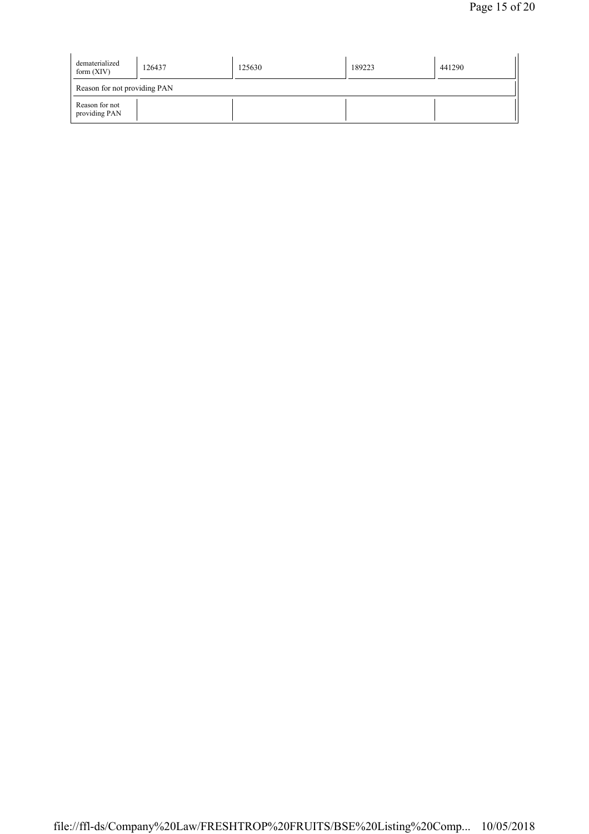| dematerialized<br>form $(XIV)$  | 126437 | 125630 | 189223 | 441290 |
|---------------------------------|--------|--------|--------|--------|
| Reason for not providing PAN    |        |        |        |        |
| Reason for not<br>providing PAN |        |        |        |        |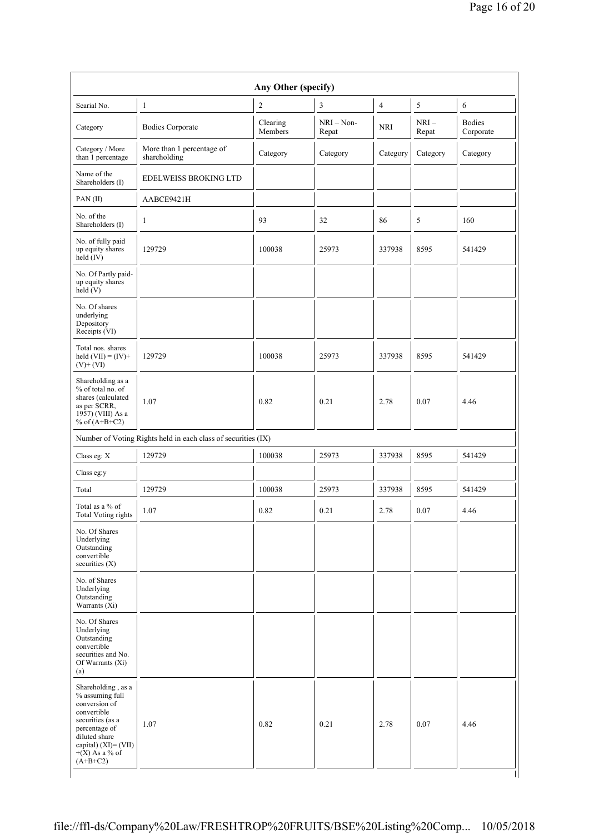| Searial No.                                                                                                          | 1                                                             | $\overline{c}$      | 3                     | $\overline{4}$ | 5               | 6                          |
|----------------------------------------------------------------------------------------------------------------------|---------------------------------------------------------------|---------------------|-----------------------|----------------|-----------------|----------------------------|
| Category                                                                                                             | <b>Bodies Corporate</b>                                       | Clearing<br>Members | $NRI - Non-$<br>Repat | <b>NRI</b>     | $NRI-$<br>Repat | <b>Bodies</b><br>Corporate |
| Category / More<br>than 1 percentage                                                                                 | More than 1 percentage of<br>shareholding                     | Category            | Category              | Category       | Category        | Category                   |
| Name of the<br>Shareholders (I)                                                                                      | <b>EDELWEISS BROKING LTD</b>                                  |                     |                       |                |                 |                            |
| PAN(II)                                                                                                              | AABCE9421H                                                    |                     |                       |                |                 |                            |
| No. of the<br>Shareholders (I)                                                                                       | 1                                                             | 93                  | 32                    | 86             | 5               | 160                        |
| No. of fully paid<br>up equity shares<br>$held$ (IV)                                                                 | 129729                                                        | 100038              | 25973                 | 337938         | 8595            | 541429                     |
| No. Of Partly paid-<br>up equity shares<br>held $(V)$                                                                |                                                               |                     |                       |                |                 |                            |
| No. Of shares<br>underlying<br>Depository<br>Receipts (VI)                                                           |                                                               |                     |                       |                |                 |                            |
| Total nos. shares<br>held $(VII) = (IV) +$<br>$(V)+(VI)$                                                             | 129729                                                        | 100038              | 25973                 | 337938         | 8595            | 541429                     |
| Shareholding as a<br>% of total no. of<br>shares (calculated<br>as per SCRR,<br>1957) (VIII) As a<br>% of $(A+B+C2)$ | 1.07                                                          | 0.82                | 0.21                  | 2.78           | 0.07            | 4.46                       |
|                                                                                                                      | Number of Voting Rights held in each class of securities (IX) |                     |                       |                |                 |                            |
| Class eg: X                                                                                                          | 129729                                                        | 100038              | 25973                 | 337938         | 8595            | 541429                     |
| Class eg:y                                                                                                           |                                                               |                     |                       |                |                 |                            |
| Total                                                                                                                | 129729                                                        | 100038              | 25973                 | 337938         | 8595            | 541429                     |
| Total as a % of<br>Total Voting rights                                                                               | 1.07                                                          | 0.82                | 0.21                  | 2.78           | 0.07            | 4.46                       |
| No. Of Shares<br>Underlying<br>Outstanding<br>convertible<br>securities (X)                                          |                                                               |                     |                       |                |                 |                            |
| No. of Shares<br>Underlying<br>Outstanding<br>Warrants $(X_i)$                                                       |                                                               |                     |                       |                |                 |                            |
| No. Of Shares<br>Underlying<br>Outstanding<br>convertible<br>securities and No.<br>Of Warrants (Xi)<br>(a)           |                                                               |                     |                       |                |                 |                            |
| Shareholding, as a<br>% assuming full<br>conversion of                                                               | 1.07                                                          | 0.82                | 0.21                  | 2.78           | 0.07            | 4.46                       |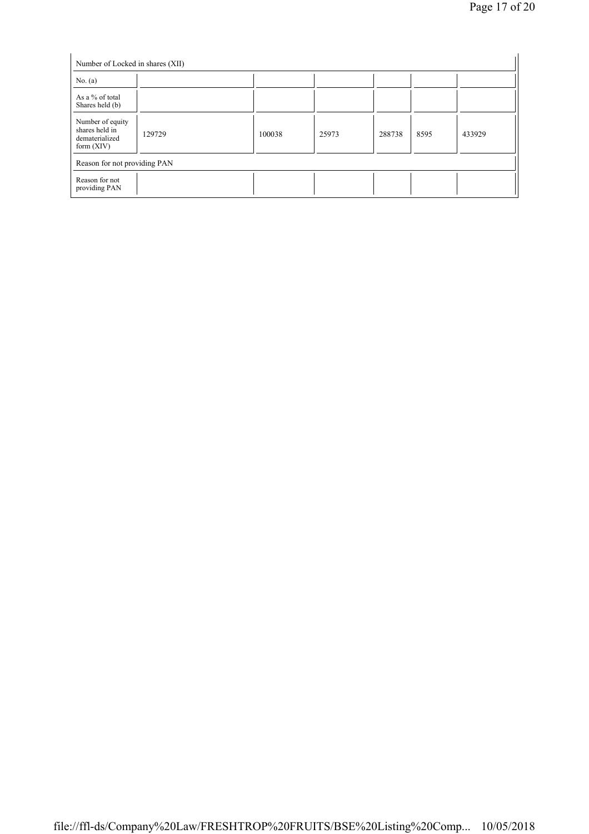| No. $(a)$                                                            | Number of Locked in shares (XII) |        |       |        |      |        |
|----------------------------------------------------------------------|----------------------------------|--------|-------|--------|------|--------|
| As a % of total<br>Shares held (b)                                   |                                  |        |       |        |      |        |
| Number of equity<br>shares held in<br>dematerialized<br>form $(XIV)$ | 129729                           | 100038 | 25973 | 288738 | 8595 | 433929 |
| Reason for not providing PAN                                         |                                  |        |       |        |      |        |
| Reason for not<br>providing PAN                                      |                                  |        |       |        |      |        |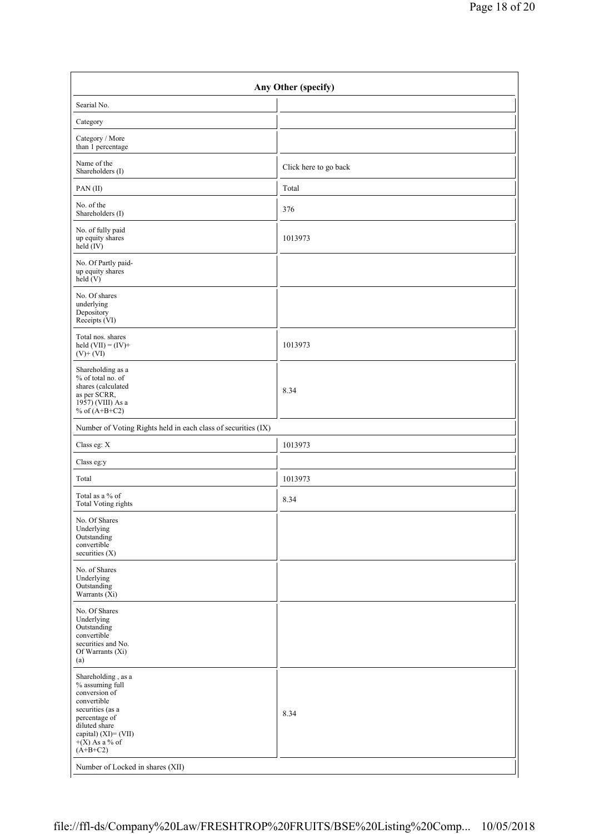| Any Other (specify)                                                                                                                                                                   |                       |  |
|---------------------------------------------------------------------------------------------------------------------------------------------------------------------------------------|-----------------------|--|
| Searial No.                                                                                                                                                                           |                       |  |
| Category                                                                                                                                                                              |                       |  |
| Category / More<br>than 1 percentage                                                                                                                                                  |                       |  |
| Name of the<br>Shareholders (I)                                                                                                                                                       | Click here to go back |  |
| PAN(II)                                                                                                                                                                               | Total                 |  |
| No. of the<br>Shareholders (I)                                                                                                                                                        | 376                   |  |
| No. of fully paid<br>up equity shares<br>$held$ (IV)                                                                                                                                  | 1013973               |  |
| No. Of Partly paid-<br>up equity shares<br>held $(V)$                                                                                                                                 |                       |  |
| No. Of shares<br>underlying<br>Depository<br>Receipts (VI)                                                                                                                            |                       |  |
| Total nos. shares<br>held $(VII) = (IV) +$<br>$(V)+(VI)$                                                                                                                              | 1013973               |  |
| Shareholding as a<br>% of total no. of<br>shares (calculated<br>as per SCRR,<br>1957) (VIII) As a<br>% of $(A+B+C2)$                                                                  | 8.34                  |  |
| Number of Voting Rights held in each class of securities (IX)                                                                                                                         |                       |  |
| Class eg: X                                                                                                                                                                           | 1013973               |  |
| Class eg:y                                                                                                                                                                            |                       |  |
| Total                                                                                                                                                                                 | 1013973               |  |
| Total as a % of<br><b>Total Voting rights</b>                                                                                                                                         | 8.34                  |  |
| No. Of Shares<br>Underlying<br>Outstanding<br>convertible<br>securities $(X)$                                                                                                         |                       |  |
| No. of Shares<br>Underlying<br>Outstanding<br>Warrants $(X_i)$                                                                                                                        |                       |  |
| No. Of Shares<br>Underlying<br>Outstanding<br>convertible<br>securities and No.<br>Of Warrants (Xi)<br>(a)                                                                            |                       |  |
| Shareholding, as a<br>% assuming full<br>conversion of<br>convertible<br>securities (as a<br>percentage of<br>diluted share<br>capital) (XI)= (VII)<br>$+(X)$ As a % of<br>$(A+B+C2)$ | 8.34                  |  |
| Number of Locked in shares (XII)                                                                                                                                                      |                       |  |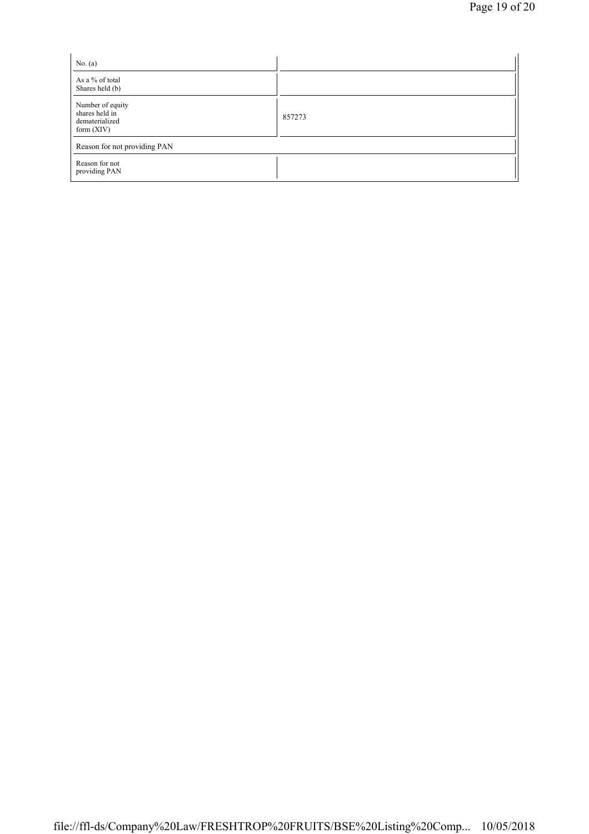| No. $(a)$                                                            |        |
|----------------------------------------------------------------------|--------|
| As a % of total<br>Shares held (b)                                   |        |
| Number of equity<br>shares held in<br>dematerialized<br>form $(XIV)$ | 857273 |
| Reason for not providing PAN                                         |        |
| Reason for not<br>providing PAN                                      |        |